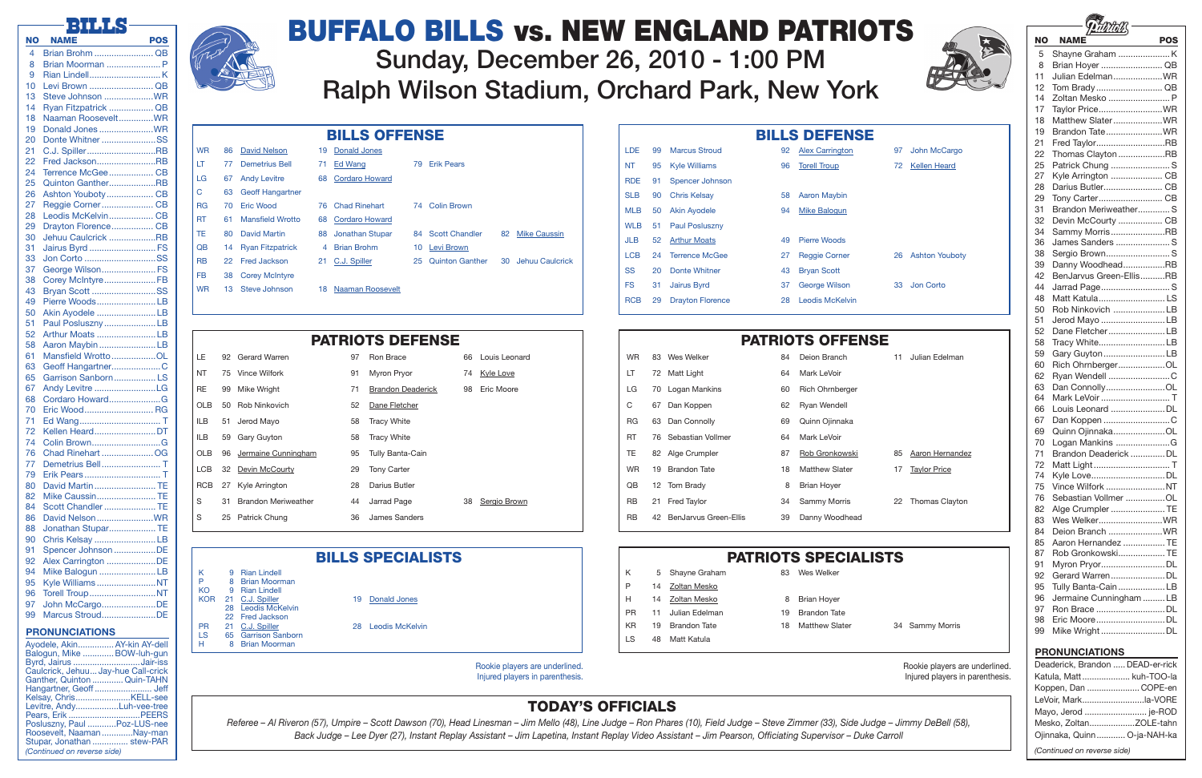| Rookie players are underlined.  |  |  |
|---------------------------------|--|--|
| Injured players in parenthesis. |  |  |

Rookie players are underlined. Injured players in parenthesis.



| Julian Edelman        |
|-----------------------|
|                       |
|                       |
|                       |
|                       |
|                       |
| Aaron Hernandez       |
| <b>Taylor Price</b>   |
|                       |
| <b>Thomas Clayton</b> |
|                       |
|                       |

# TODAY'S OFFICIALS

*Referee – Al Riveron (57), Umpire – Scott Dawson (70), Head Linesman – Jim Mello (48), Line Judge – Ron Phares (10), Field Judge – Steve Zimmer (33), Side Judge – Jimmy DeBell (58), Back Judge – Lee Dyer (27), Instant Replay Assistant – Jim Lapetina, Instant Replay Video Assistant – Jim Pearson, Officiating Supervisor – Duke Carroll*

|           | <b>PATRIOTS DEFENSE</b> |                            |    |                          |    |               |  |
|-----------|-------------------------|----------------------------|----|--------------------------|----|---------------|--|
| LE.       |                         | 92 Gerard Warren           | 97 | Ron Brace                | 66 | Louis Leonard |  |
| NT        |                         | 75 Vince Wilfork           | 91 | Myron Pryor              | 74 | Kyle Love     |  |
| <b>RE</b> | 99                      | Mike Wright                | 71 | <b>Brandon Deaderick</b> | 98 | Eric Moore    |  |
| OLB.      |                         | 50 Rob Ninkovich           | 52 | Dane Fletcher            |    |               |  |
| ILB       |                         | 51 Jerod Mayo              | 58 | Tracy White              |    |               |  |
| ILB       |                         | 59 Gary Guyton             | 58 | <b>Tracy White</b>       |    |               |  |
| OLB       |                         | 96 Jermaine Cunningham     | 95 | Tully Banta-Cain         |    |               |  |
| LCB       |                         | 32 Devin McCourty          | 29 | <b>Tony Carter</b>       |    |               |  |
| RCB       |                         | 27 Kyle Arrington          | 28 | Darius Butler            |    |               |  |
| S         | 31                      | <b>Brandon Meriweather</b> | 44 | Jarrad Page              | 38 | Sergio Brown  |  |
| S         | 25                      | <b>Patrick Chung</b>       | 36 | <b>James Sanders</b>     |    |               |  |

## BILLS SPECIALISTS FILLS SPECIALISTS

| LE         |    | 92 Gerard Warren           | 97 | Ron Brace           |
|------------|----|----------------------------|----|---------------------|
| NT         |    | 75 Vince Wilfork           | 91 | Myron Pryor         |
| <b>RE</b>  | 99 | <b>Mike Wright</b>         | 71 | <b>Brandon Dead</b> |
| OLB        |    | 50 Rob Ninkovich           | 52 | Dane Fletcher       |
| ILB        | 51 | Jerod Mayo                 | 58 | <b>Tracy White</b>  |
| <b>ILB</b> | 59 | Gary Guyton                | 58 | <b>Tracy White</b>  |
| OLB.       |    | 96 Jermaine Cunningham     | 95 | Tully Banta-Ca      |
| <b>LCB</b> |    | 32 Devin McCourty          | 29 | <b>Tony Carter</b>  |
| <b>RCB</b> |    | 27 Kyle Arrington          | 28 | Darius Butler       |
| S          | 31 | <b>Brandon Meriweather</b> | 44 | Jarrad Page         |
| S          | 25 | Patrick Chung              | 36 | James Sander        |
|            |    |                            |    |                     |

- KO 9 Rian Lindell KOR 21 C.J. Spiller 19 Donald Jones
- 
- 22 Fred Jackson<br>21 C.J. Spiller
- PR 21 C.J. Spiller 28 Leodis McKelvin<br>
LS 65 Garrison Sanborn
- 
- Ayodele, Akin................ AY-kin AY-dell<br>Balogun, Mike ............. BOW-luh-gun
- 
- 28 Leodis McKelvin
- 
- 
- LS 65 Garrison Sanborn<br>H 8 Brian Moorman 8 Brian Moorman
- 
- 
- 

| K   |    | 5 Shayne Graham     | 83 | Wes Welker            |
|-----|----|---------------------|----|-----------------------|
| Р   | 14 | Zoltan Mesko        |    |                       |
| H   |    | 14 Zoltan Mesko     | 8  | <b>Brian Hoyer</b>    |
| PR. |    | 11 Julian Edelman   | 19 | <b>Brandon Tate</b>   |
| KR. | 19 | <b>Brandon Tate</b> | 18 | <b>Matthew Slater</b> |
| LS  | 48 | Matt Katula         |    |                       |
|     |    |                     |    |                       |

| <b>WR</b>       | 86  | <b>David Nelson</b>     | 19 | <b>Donald Jones</b>   |    |                        |    |                     |
|-----------------|-----|-------------------------|----|-----------------------|----|------------------------|----|---------------------|
| LT              | 77  | <b>Demetrius Bell</b>   | 71 | Ed Wang               | 79 | <b>Erik Pears</b>      |    |                     |
| LG              | 67  | <b>Andy Levitre</b>     | 68 | <b>Cordaro Howard</b> |    |                        |    |                     |
| C               | 63  | <b>Geoff Hangartner</b> |    |                       |    |                        |    |                     |
| <b>RG</b>       | 70  | <b>Eric Wood</b>        | 76 | <b>Chad Rinehart</b>  | 74 | <b>Colin Brown</b>     |    |                     |
| <b>RT</b>       | 61  | <b>Mansfield Wrotto</b> |    | 68 Cordaro Howard     |    |                        |    |                     |
| TE.             | 80  | <b>David Martin</b>     |    | 88 Jonathan Stupar    |    | 84 Scott Chandler      | 82 | <b>Mike Caussin</b> |
| $\overline{OB}$ | 14  | <b>Ryan Fitzpatrick</b> | 4  | <b>Brian Brohm</b>    | 10 | Levi Brown             |    |                     |
| <b>RB</b>       | 22  | <b>Fred Jackson</b>     |    | 21 C.J. Spiller       | 25 | <b>Quinton Ganther</b> |    | 30 Jehuu Caulcrick  |
| FB.             |     | 38 Corey McIntyre       |    |                       |    |                        |    |                     |
| <b>WR</b>       | 13. | Steve Johnson           | 18 | Naaman Roosevelt      |    |                        |    |                     |

| <b>BILLS OFFENSE</b>               |          |                                      |    |                     |            |    |                         |    | <b>BILLS DEFENSI</b>   |
|------------------------------------|----------|--------------------------------------|----|---------------------|------------|----|-------------------------|----|------------------------|
| <b>Donald Jones</b>                |          |                                      |    |                     | <b>LDE</b> | 99 | <b>Marcus Stroud</b>    | 92 | <b>Alex Carrington</b> |
| Ed Wang                            | 79       | <b>Erik Pears</b>                    |    |                     | <b>NT</b>  | 95 | <b>Kyle Williams</b>    | 96 | <b>Torell Troup</b>    |
| <b>Cordaro Howard</b>              |          |                                      |    |                     | <b>RDE</b> | 91 | Spencer Johnson         |    |                        |
|                                    |          |                                      |    |                     | <b>SLB</b> | 90 | <b>Chris Kelsay</b>     | 58 | <b>Aaron Maybin</b>    |
| <b>Chad Rinehart</b>               | 74       | <b>Colin Brown</b>                   |    |                     | <b>MLB</b> | 50 | <b>Akin Ayodele</b>     | 94 | <b>Mike Balogun</b>    |
| <b>Cordaro Howard</b>              |          |                                      |    |                     | <b>WLB</b> | 51 | <b>Paul Posluszny</b>   |    |                        |
| Jonathan Stupar                    | 84       | <b>Scott Chandler</b>                | 82 | <b>Mike Caussin</b> | <b>JLB</b> | 52 | <b>Arthur Moats</b>     | 49 | Pierre Woods           |
| <b>Brian Brohm</b><br>C.J. Spiller | 10<br>25 | Levi Brown<br><b>Quinton Ganther</b> | 30 | Jehuu Caulcrick     | <b>LCB</b> | 24 | <b>Terrence McGee</b>   | 27 | <b>Reggie Corner</b>   |
|                                    |          |                                      |    |                     | SS         | 20 | Donte Whitner           | 43 | <b>Bryan Scott</b>     |
| Naaman Roosevelt                   |          |                                      |    |                     | <b>FS</b>  | 31 | <b>Jairus Byrd</b>      | 37 | <b>George Wilson</b>   |
|                                    |          |                                      |    |                     | <b>RCB</b> | 29 | <b>Drayton Florence</b> | 28 | <b>Leodis McKelvin</b> |
|                                    |          |                                      |    |                     |            |    |                         |    |                        |

# K 9 Rian Lindell

| ĸ  | 9 Hian Lindell  |
|----|-----------------|
| P  | 8 Brian Moorman |
| KΩ | 9 Rian Lindell  |

## **DITTC**

|           | r - 10<br>п.                              |            |
|-----------|-------------------------------------------|------------|
| <b>NO</b> | NAME<br><b>Contract Contract Contract</b> | <b>POS</b> |
| 4         | Brian Brohm  QB                           |            |
| 8         | Brian Moorman  P                          |            |
| 9         |                                           |            |
| 10        | Levi Brown  QB                            |            |
| 13        | Steve Johnson WR                          |            |
| 14        | Ryan Fitzpatrick  QB                      |            |
| 18        | Naaman RooseveltWR                        |            |
| 19        | Donald Jones WR                           |            |
| 20        | Donte Whitner SS                          |            |
| 21        | C.J. SpillerRB                            |            |
| 22        | Fred JacksonRB                            |            |
| 24        | Terrence McGee CB                         |            |
| 25        | Quinton GantherRB                         |            |
| 26        | Ashton YoubotyCB                          |            |
| 27        | Reggie CornerCB                           |            |
| 28        | Leodis McKelvin CB                        |            |
| 29        | Drayton Florence CB                       |            |
| 30        | Jehuu Caulcrick RB                        |            |
| 31        | Jairus Byrd  FS                           |            |
| 33        | Jon Corto SS                              |            |
| 37        | George Wilson FS                          |            |
| 38        | Corey McIntyreFB                          |            |
| 43        | Bryan Scott SS                            |            |
| 49        | Pierre WoodsLB                            |            |
| 50        | Akin Ayodele LB                           |            |
| 51        | Paul PoslusznyLB                          |            |
| 52        | Arthur Moats LB                           |            |
| 58        | Aaron Maybin LB                           |            |
| 61        | Mansfield WrottoOL                        |            |
| 63        | Geoff HangartnerC                         |            |
| 65        | Garrison SanbornLS                        |            |
| 67        | Andy Levitre LG                           |            |
| 68        | Cordaro HowardG                           |            |
| 70        | Eric Wood RG                              |            |
| 71        |                                           |            |
| 72        | Kellen HeardDT                            |            |
| 74        | Colin BrownG                              |            |
| 76        | Chad Rinehart OG                          |            |
| 77        | Demetrius Bell                            | T          |
| 79        | Erik Pears T                              |            |
| 80        | David MartinTE                            |            |
| 82        | Mike CaussinTE                            |            |
| 84        | Scott ChandlerTE                          |            |
| 86        | David NelsonWR                            |            |
| 88        | Jonathan StuparTE                         |            |
| 90        | Chris Kelsay LB                           |            |
| 91        | Spencer Johnson DE                        |            |
| 92        | Alex Carrington DE                        |            |
| 94        | Mike Balogun LB                           |            |
| 95        | Kyle WilliamsNT                           |            |
| 96        | Torell TroupNT                            |            |
| 97        | John McCargoDE                            |            |
| 99        | Marcus StroudDE                           |            |
|           |                                           |            |
|           | <b>PRONUNCIATIONS</b>                     |            |



| <b>NO</b> | NAME                    | <b>POS</b> |
|-----------|-------------------------|------------|
| 5         |                         |            |
| 8         | Brian Hoyer  QB         |            |
| 11        | Julian EdelmanWR        |            |
| 12        | Tom BradyQB             |            |
| 14        | Zoltan Mesko  P         |            |
| 17        | Taylor PriceWR          |            |
| 18        | Matthew SlaterWR        |            |
| 19        | Brandon TateWR          |            |
| 21        | Fred TaylorRB           |            |
| 22        | Thomas Clayton RB       |            |
| 25        | Patrick Chung  S        |            |
| 27        | Kyle Arrington  CB      |            |
| 28        | Darius Butler CB        |            |
| 29        | Tony Carter CB          |            |
| 31        | Brandon Meriweather S   |            |
| 32        | Devin McCourty  CB      |            |
| 34        | Sammy MorrisRB          |            |
| 36        | James Sanders  S        |            |
| 38        | Sergio BrownS           |            |
| 39        | Danny WoodheadRB        |            |
| 42        | BenJarvus Green-EllisRB |            |
| 44        | Jarrad PageS            |            |
|           |                         |            |
| 48        | Matt KatulaLS           |            |
| 50<br>51  | Rob Ninkovich LB        |            |
| 52        | Jerod Mayo LB           |            |
|           | Dane FletcherLB         |            |
| 58        | Tracy WhiteLB           |            |
| 59        | Gary Guyton LB          |            |
| 60        | Rich OhrnbergerOL       |            |
| 62        | Ryan Wendell C          |            |
| 63        | Dan ConnollyOL          |            |
| 64        | Mark LeVoir  T          |            |
| 66        | Louis Leonard DL        |            |
| 67        | Dan Koppen C            |            |
| 69        | Quinn OjinnakaOL        |            |
| 70        | Logan Mankins G         |            |
| 71        | Brandon Deaderick DL    |            |
| 72        | Matt Light T            |            |
| 74        | Kyle LoveDL             |            |
| 75        | Vince Wilfork NT        |            |
| 76        | Sebastian Vollmer OL    |            |
| 82        | Alge Crumpler  TE       |            |
| 83        | Wes WelkerWR            |            |
| 84        | Deion Branch WR         |            |
| 85        | Aaron Hernandez  TE     |            |
| 87        | Rob GronkowskiTE        |            |
| 91        | Myron PryorDL           |            |
| 92        | Gerard WarrenDL         |            |
| 95        | Tully Banta-Cain LB     |            |
| 96        | Jermaine Cunningham LB  |            |
| 97        | Ron Brace DL            |            |
| 98        | Eric MooreDL            |            |
| 99        | Mike Wright DL          |            |

| Byrd, Jairus Jair-iss               |  |
|-------------------------------------|--|
| Caulcrick, Jehuu Jay-hue Call-crick |  |
| Ganther, Quinton  Quin-TAHN         |  |
|                                     |  |
|                                     |  |
| Levitre, AndyLuh-vee-tree           |  |
|                                     |  |
| Posluszny, Paul Poz-LUS-nee         |  |
| Roosevelt, Naaman Nay-man           |  |
| Stupar, Jonathan  stew-PAR          |  |
| (Continued on reverse side)         |  |

Balogun, Mike .......



- 97 John McCargo
- 72 Kellen Heard

### 26 Ashton Youboty

33 Jon Corto

- 
- 
- 

34 Sammy Morris

*(Continued on reverse side)*

### PRONUNCIATIONS

| Deaderick, Brandon  DEAD-er-rick |  |
|----------------------------------|--|
| Katula, Matt  kuh-TOO-la         |  |
| Koppen, Dan  COPE-en             |  |
| LeVoir, Markla-VORE              |  |
| Mayo, Jerod  je-ROD              |  |
| Mesko, ZoltanZOLE-tahn           |  |
| Ojinnaka, Quinn O-ja-NAH-ka      |  |
|                                  |  |

# Buffalo Bills vs. New England Patriots Sunday, December 26, 2010 - 1:00 PM

Ralph Wilson Stadium, Orchard Park, New York

|  | <b>BILLS OFFENSE</b> |
|--|----------------------|
|--|----------------------|